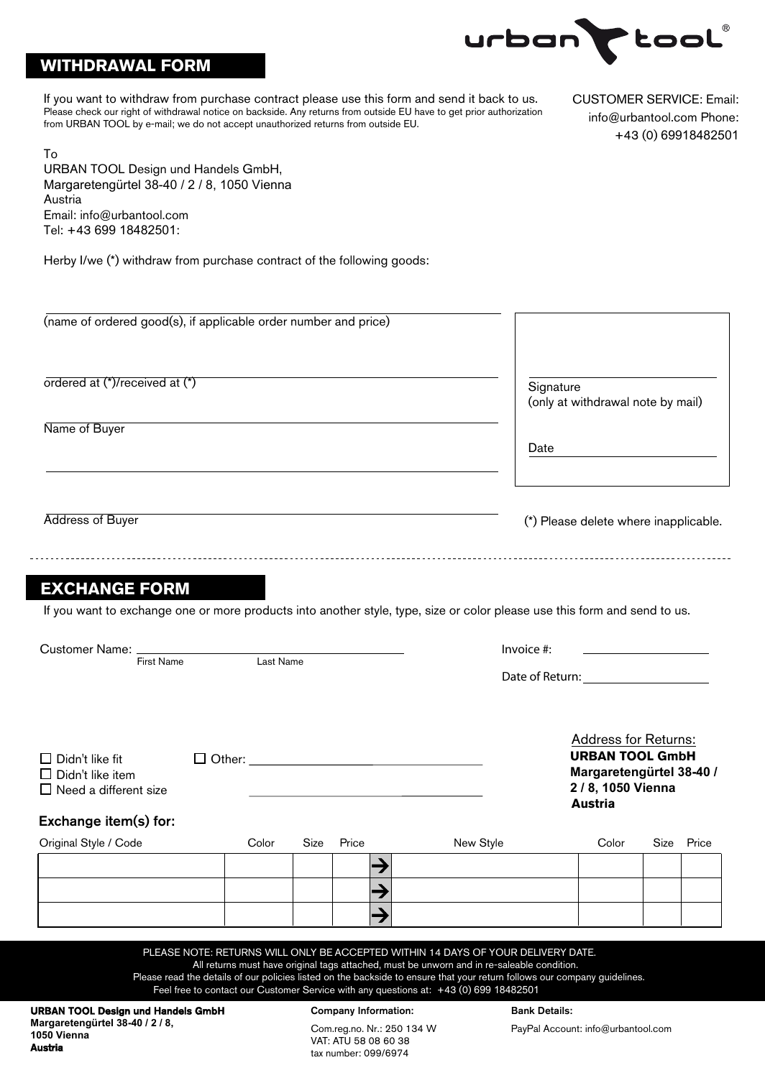

# **WITHDRAWAL FORM**

To

Austria

If you want to withdraw from purchase contract please use this form and send it back to us. Please check our right of withdrawal notice on backside. Any returns from outside EU have to get prior authorization from URBAN TOOL by e-mail; we do not accept unauthorized returns from outside EU.

CUSTOMER SERVICE: Email: info@urbantool.com Phone: +43 (0) 69918482501

URBAN TOOL Design und Handels GmbH, Margaretengürtel 38-40 / 2 / 8, 1050 Vienna Austria Email: info@urbantool.com Tel: +43 699 18482501:

Herby I/we (\*) withdraw from purchase contract of the following goods:

| (name of ordered good(s), if applicable order number and price)                                                                                   |       |                                                    |       |                                                                                                                                                                                                                                                                                                                                                                                                      |                                                |                                       |  |            |
|---------------------------------------------------------------------------------------------------------------------------------------------------|-------|----------------------------------------------------|-------|------------------------------------------------------------------------------------------------------------------------------------------------------------------------------------------------------------------------------------------------------------------------------------------------------------------------------------------------------------------------------------------------------|------------------------------------------------|---------------------------------------|--|------------|
|                                                                                                                                                   |       |                                                    |       |                                                                                                                                                                                                                                                                                                                                                                                                      |                                                |                                       |  |            |
| ordered at (*)/received at (*)                                                                                                                    |       |                                                    |       |                                                                                                                                                                                                                                                                                                                                                                                                      | Signature<br>(only at withdrawal note by mail) |                                       |  |            |
| Name of Buyer                                                                                                                                     |       |                                                    |       |                                                                                                                                                                                                                                                                                                                                                                                                      |                                                |                                       |  |            |
|                                                                                                                                                   |       |                                                    |       |                                                                                                                                                                                                                                                                                                                                                                                                      | Date                                           |                                       |  |            |
|                                                                                                                                                   |       |                                                    |       |                                                                                                                                                                                                                                                                                                                                                                                                      |                                                |                                       |  |            |
| Address of Buyer                                                                                                                                  |       |                                                    |       |                                                                                                                                                                                                                                                                                                                                                                                                      |                                                | (*) Please delete where inapplicable. |  |            |
| <b>EXCHANGE FORM</b><br>If you want to exchange one or more products into another style, type, size or color please use this form and send to us. |       |                                                    |       |                                                                                                                                                                                                                                                                                                                                                                                                      |                                                |                                       |  |            |
|                                                                                                                                                   |       |                                                    |       |                                                                                                                                                                                                                                                                                                                                                                                                      |                                                |                                       |  |            |
| Customer Name: ________<br><b>First Name</b><br>Last Name                                                                                         |       |                                                    |       | Invoice $#$ :<br>Date of Return: Note that the state of Return:                                                                                                                                                                                                                                                                                                                                      |                                                |                                       |  |            |
| $\square$ Didn't like fit<br>$\Box$ Other: $\Box$<br>$\Box$ Didn't like item<br>$\Box$ Need a different size                                      |       |                                                    |       | <b>Address for Returns:</b><br><b>URBAN TOOL GmbH</b><br>Margaretengürtel 38-40 /<br>2 / 8, 1050 Vienna<br><b>Austria</b>                                                                                                                                                                                                                                                                            |                                                |                                       |  |            |
| Exchange item(s) for:                                                                                                                             |       |                                                    |       |                                                                                                                                                                                                                                                                                                                                                                                                      |                                                |                                       |  |            |
| Original Style / Code                                                                                                                             | Color | Size                                               | Price | New Style                                                                                                                                                                                                                                                                                                                                                                                            |                                                | Color                                 |  | Size Price |
|                                                                                                                                                   |       |                                                    |       |                                                                                                                                                                                                                                                                                                                                                                                                      |                                                |                                       |  |            |
|                                                                                                                                                   |       |                                                    | →     |                                                                                                                                                                                                                                                                                                                                                                                                      |                                                |                                       |  |            |
|                                                                                                                                                   |       |                                                    |       |                                                                                                                                                                                                                                                                                                                                                                                                      |                                                |                                       |  |            |
|                                                                                                                                                   |       |                                                    |       | PLEASE NOTE: RETURNS WILL ONLY BE ACCEPTED WITHIN 14 DAYS OF YOUR DELIVERY DATE.<br>All returns must have original tags attached, must be unworn and in re-saleable condition.<br>Please read the details of our policies listed on the backside to ensure that your return follows our company guidelines.<br>Feel free to contact our Customer Service with any questions at: +43 (0) 699 18482501 |                                                |                                       |  |            |
| <b>URBAN TOOL Design und Handels GmbH</b>                                                                                                         |       | <b>Company Information:</b>                        |       |                                                                                                                                                                                                                                                                                                                                                                                                      | <b>Bank Details:</b>                           |                                       |  |            |
| Margaretengürtel 38-40 / 2 / 8,<br>1050 Vienna                                                                                                    |       | Com.reg.no. Nr.: 250 134 W<br>VAT: ATU 58 08 60 38 |       |                                                                                                                                                                                                                                                                                                                                                                                                      | PayPal Account: info@urbantool.com             |                                       |  |            |

tax number: 099/6974